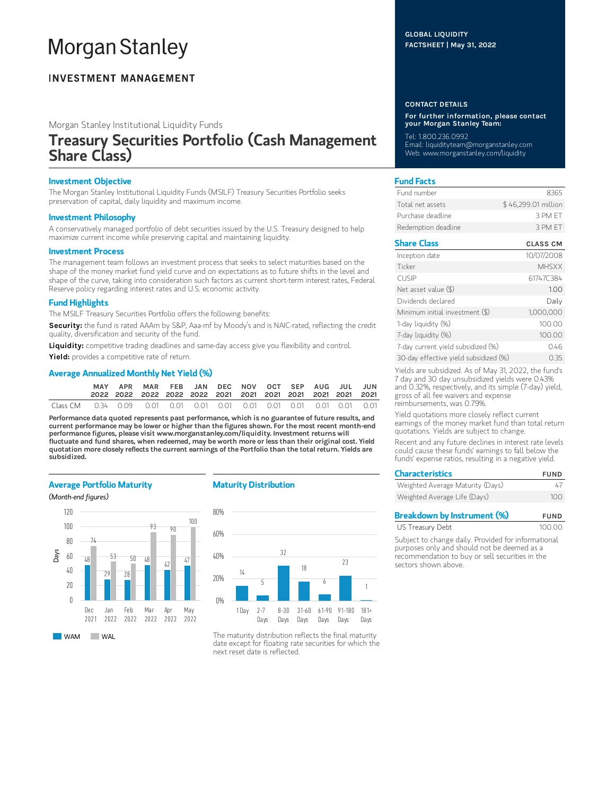# **Morgan Stanley**

# **INVESTMENT MANAGEMENT**

Morgan Stanley Institutional Liquidity Funds

# Treasury Securities Portfolio (Cash Management Share Class)

# Investment Objective

The Morgan Stanley Institutional Liquidity Funds (MSILF) Treasury Securities Portfolio seeks preservation of capital, daily liquidity and maximum income.

# Investment Philosophy

A conservatively managed portfolio of debt securities issued by the U.S. Treasury designed to help maximize current income while preserving capital and maintaining liquidity.

## Investment Process

The management team follows an investment process that seeks to select maturities based on the shape of the money market fund yield curve and on expectations as to future shifts in the level and shape of the curve, taking into consideration such factors as current short-term interest rates, Federal Reserve policy regarding interest rates and U.S. economic activity.

# Fund Highlights

The MSILF Treasury Securities Portfolio offers the following benefits:

Security: the fund is rated AAAm by S&P, Aaa-mf by Moody's and is NAIC-rated, reflecting the credit quality, diversification and security of the fund.

Liquidity: competitive trading deadlines and same-day access give you flexibility and control.

Yield: provides a competitive rate of return.

# Average Annualized Monthly Net Yield (%)

|                                                                                  | MAY | APR | MAR FEB JAN DEC NOV OCT SEP AUG JUL JUN |  |  |  |  |  |
|----------------------------------------------------------------------------------|-----|-----|-----------------------------------------|--|--|--|--|--|
| Class CM  0.34  0.09  0.01  0.01  0.01  0.01  0.01  0.01  0.01  0.01  0.01  0.01 |     |     |                                         |  |  |  |  |  |

Performance data quoted represents past performance, which is no guarantee of future results, and current performance may be lower or higher than the figures shown. For the most recent month-end performance figures, please visit www.morganstanley.com/liquidity. Investment returns will fluctuate and fund shares, when redeemed, may be worth more or less than their original cost. Yield quotation more closely reflects the current earnings of the Portfolio than the total return. Yields are subsidized.

# Average Portfolio Maturity

# (Month-end figures)



# Maturity Distribution



The maturity distribution reflects the final maturity date except for floating rate securities for which the next reset date is reflected.

# GLOBAL LIQUIDITY FACTSHEET | May 31, 2022

#### CONTACT DETAILS

For further information, please contact your Morgan Stanley Team:

Tel: 1.800.236.0992 Email: liquidityteam@morganstanley.com Web: www.morganstanley.com/liquidity

# Fund Facts

| Fund number         | 8365                |
|---------------------|---------------------|
| Total net assets    | \$46,299.01 million |
| Purchase deadline.  | 3 PM FT             |
| Redemption deadline | 3 PM FT             |

# Share Class CLASS CM

| Inception date                        | 10/07/2008   |
|---------------------------------------|--------------|
| Ticker                                | <b>MHSXX</b> |
| <b>CUSIP</b>                          | 61747C384    |
| Net asset value $(\$)$                | 1.00         |
| Dividends declared                    | Daily        |
| Minimum initial investment (\$)       | 1,000,000    |
| 1-day liquidity (%)                   | 100.00       |
| 7-day liquidity (%)                   | 100.00       |
| 7-day current yield subsidized (%)    | 0.46         |
| 30-day effective yield subsidized (%) | 0.35         |

Yields are subsidized. As of May 31, 2022, the fund's 7 day and 30 day unsubsidized yields were 0.43% and 0.32%, respectively, and its simple (7-day) yield, gross of all fee waivers and expense reimbursements, was 0.79%.

Yield quotations more closely reflect current earnings of the money market fund than total return quotations. Yields are subject to change.

Recent and any future declines in interest rate levels could cause these funds' earnings to fall below the funds' expense ratios, resulting in a negative yield.

| <b>Characteristics</b>           | <b>FUND</b> |  |  |
|----------------------------------|-------------|--|--|
| Weighted Average Maturity (Days) | 47          |  |  |
| Weighted Average Life (Days)     | 100         |  |  |

| <b>Breakdown by Instrument (%)</b> | <b>FUND</b> |
|------------------------------------|-------------|
| US Treasury Debt                   | 100.00      |

Subject to change daily. Provided for informational purposes only and should not be deemed as a recommendation to buy or sell securities in the sectors shown above.